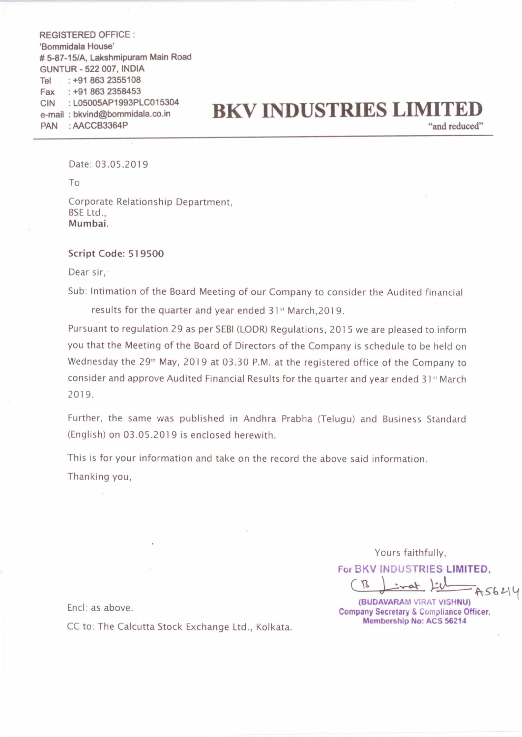REGISTERED OFFICE : 'Bommidala House' # 5—87-15/A. Lakshmipuram Main Road GUNTUR - 522 007, INDIA Tel : +91 863 2355108 Fax : +91 863 2358453 CIN : L05005AP1993PLCO15304 e-mail : bkvind@bommidala.co,in PAN : AACCB3364P

## **BKV INDUSTRIES LIMITE**

"and reduced"

Date: 03.05.2019

To

Corporate Relationship Department, BSE Ltd., Mumbai.

## Script Code: 519500

Dear sir,

Sub: Intimation of the Board Meeting of our Company to consider the Audited financial

results for the quarter and year ended 31" March,2019.

Pursuant to regulation 29 as per SEBI (LODR) Regulations, 2015 we are pleased to inform you that the Meeting of the Board of Directors of the Company is schedule to be held on Wednesday the 29<sup>th</sup> May, 2019 at 03.30 P.M. at the registered office of the Company to consider and approve Audited Financial Results for the quarter and year ended 31 $\mathrm{^{st}}$  March 2019.

Further, the same was published in Andhra Prabha (Telugu) and Business Standard (English) on 03.05.2019 is enclosed herewith.

This is for your information and take on the record the above said information. Thanking you,

Yours faithfully,

For BKV INDUSTRIES LIMITED.

Yours faith<br>BKV INDUSTR<br>(BUDAVARAM VIF<br>(BUDAVARAM VIF)<br>mpany Secretary & C A56214

(BUDAVARAM VIRAT VISHNU) Company Secretary & Compliance Officer, Membership No: ACS 56214

Encl: as above.

CC to: The Calcutta Stock Exchange Ltd.. Kolkata.